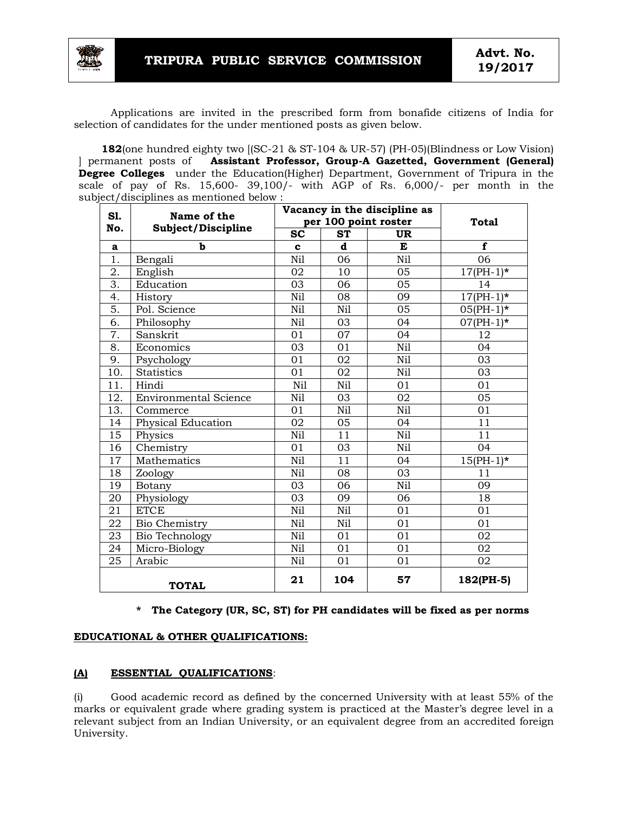

Applications are invited in the prescribed form from bonafide citizens of India for selection of candidates for the under mentioned posts as given below.

 **182**(one hundred eighty two [(SC-21 & ST-104 & UR-57) (PH-05)(Blindness or Low Vision) ] permanent posts of **Assistant Professor, Group-A Gazetted, Government (General) Degree Colleges** under the Education(Higher) Department, Government of Tripura in the scale of pay of Rs. 15,600- 39,100/- with AGP of Rs. 6,000/- per month in the subject/disciplines as mentioned below :

| S1.<br>No.       | Name of the<br>Subject/Discipline | Vacancy in the discipline as |           |           | <b>Total</b> |
|------------------|-----------------------------------|------------------------------|-----------|-----------|--------------|
|                  |                                   | per 100 point roster         |           |           |              |
|                  |                                   | <b>SC</b>                    | <b>ST</b> | <b>UR</b> |              |
| a                | b                                 | $\mathbf c$                  | d         | E         | $\mathbf f$  |
| 1.               | Bengali                           | Nil                          | 06        | Nil       | 06           |
| 2.               | English                           | 02                           | 10        | 05        | $17(PH-1)*$  |
| $\overline{3}$ . | Education                         | 03                           | 06        | 05        | 14           |
| 4.               | History                           | Nil                          | 08        | 09        | $17(PH-1)*$  |
| 5.               | Pol. Science                      | Nil                          | Nil       | 05        | $05(PH-1)*$  |
| 6.               | Philosophy                        | Nil                          | 03        | 04        | $07(PH-1)*$  |
| 7.               | Sanskrit                          | 01                           | 07        | 04        | 12           |
| 8.               | Economics                         | 03                           | 01        | Nil       | 04           |
| 9.               | Psychology                        | 01                           | 02        | Nil       | 03           |
| 10.              | <b>Statistics</b>                 | 01                           | 02        | Nil       | 03           |
| 11.              | Hindi                             | Nil                          | Nil       | 01        | 01           |
| 12.              | <b>Environmental Science</b>      | Nil                          | 03        | 02        | 05           |
| 13.              | Commerce                          | 01                           | Nil       | Nil       | 01           |
| 14               | Physical Education                | 02                           | 05        | 04        | 11           |
| 15               | Physics                           | Nil                          | 11        | Nil       | 11           |
| 16               | Chemistry                         | 01                           | 03        | Nil       | 04           |
| 17               | Mathematics                       | Nil                          | 11        | 04        | $15(PH-1)*$  |
| 18               | Zoology                           | Nil                          | 08        | 03        | 11           |
| 19               | Botany                            | 03                           | 06        | Nil       | 09           |
| 20               | Physiology                        | 03                           | 09        | 06        | 18           |
| 21               | <b>ETCE</b>                       | Nil                          | Nil       | 01        | 01           |
| 22               | Bio Chemistry                     | Nil                          | Nil       | 01        | 01           |
| 23               | Bio Technology                    | Nil                          | 01        | 01        | 02           |
| 24               | Micro-Biology                     | Nil                          | 01        | 01        | 02           |
| 25               | Arabic                            | Nil                          | 01        | 01        | 02           |
| <b>TOTAL</b>     |                                   | 21                           | 104       | 57        | 182(PH-5)    |

#### **\* The Category (UR, SC, ST) for PH candidates will be fixed as per norms**

#### **EDUCATIONAL & OTHER QUALIFICATIONS:**

## **(A) ESSENTIAL QUALIFICATIONS**:

(i) Good academic record as defined by the concerned University with at least 55% of the marks or equivalent grade where grading system is practiced at the Master's degree level in a relevant subject from an Indian University, or an equivalent degree from an accredited foreign University.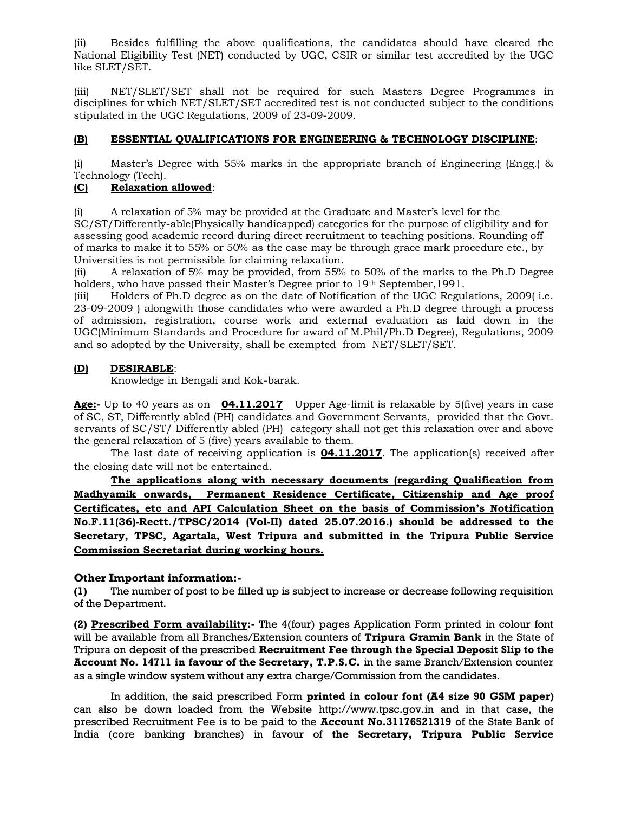(ii) Besides fulfilling the above qualifications, the candidates should have cleared the National Eligibility Test (NET) conducted by UGC, CSIR or similar test accredited by the UGC like SLET/SET.

(iii) NET/SLET/SET shall not be required for such Masters Degree Programmes in disciplines for which NET/SLET/SET accredited test is not conducted subject to the conditions stipulated in the UGC Regulations, 2009 of 23-09-2009.

# **(B) ESSENTIAL QUALIFICATIONS FOR ENGINEERING & TECHNOLOGY DISCIPLINE**:

(i) Master's Degree with 55% marks in the appropriate branch of Engineering (Engg.) & Technology (Tech).

## **(C) Relaxation allowed**:

(i) A relaxation of 5% may be provided at the Graduate and Master's level for the SC/ST/Differently-able(Physically handicapped) categories for the purpose of eligibility and for assessing good academic record during direct recruitment to teaching positions. Rounding off of marks to make it to 55% or 50% as the case may be through grace mark procedure etc., by Universities is not permissible for claiming relaxation.

(ii) A relaxation of 5% may be provided, from 55% to 50% of the marks to the Ph.D Degree holders, who have passed their Master's Degree prior to 19th September, 1991.

(iii) Holders of Ph.D degree as on the date of Notification of the UGC Regulations, 2009( i.e. 23-09-2009 ) alongwith those candidates who were awarded a Ph.D degree through a process of admission, registration, course work and external evaluation as laid down in the UGC(Minimum Standards and Procedure for award of M.Phil/Ph.D Degree), Regulations, 2009 and so adopted by the University, shall be exempted from NET/SLET/SET.

## **(D) DESIRABLE**:

Knowledge in Bengali and Kok-barak.

**Age:-** Up to 40 years as on **04.11.2017** Upper Age-limit is relaxable by 5(five) years in case of SC, ST, Differently abled (PH) candidates and Government Servants, provided that the Govt. servants of SC/ST/ Differently abled (PH) category shall not get this relaxation over and above the general relaxation of 5 (five) years available to them.

The last date of receiving application is **04.11.2017**. The application(s) received after the closing date will not be entertained.

**The applications along with necessary documents (regarding Qualification from Madhyamik onwards, Permanent Residence Certificate, Citizenship and Age proof Certificates, etc and API Calculation Sheet on the basis of Commission's Notification No.F.11(36)-Rectt./TPSC/2014 (Vol-II) dated 25.07.2016.) should be addressed to the Secretary, TPSC, Agartala, West Tripura and submitted in the Tripura Public Service Commission Secretariat during working hours.**

#### **Other Important information:-**

**(1)** The number of post to be filled up is subject to increase or decrease following requisition of the Department.

**(2) Prescribed Form availability:-** The 4(four) pages Application Form printed in colour font will be available from all Branches/Extension counters of **Tripura Gramin Bank** in the State of Tripura on deposit of the prescribed **Recruitment Fee through the Special Deposit Slip to the Account No. 14711 in favour of the Secretary, T.P.S.C.** in the same Branch/Extension counter as a single window system without any extra charge/Commission from the candidates.

In addition, the said prescribed Form **printed in colour font (A4 size 90 GSM paper)**  can also be down loaded from the Website http://www.tpsc.gov.in and in that case, the prescribed Recruitment Fee is to be paid to the **Account No.31176521319** of the State Bank of India (core banking branches) in favour of **the Secretary, Tripura Public Service**